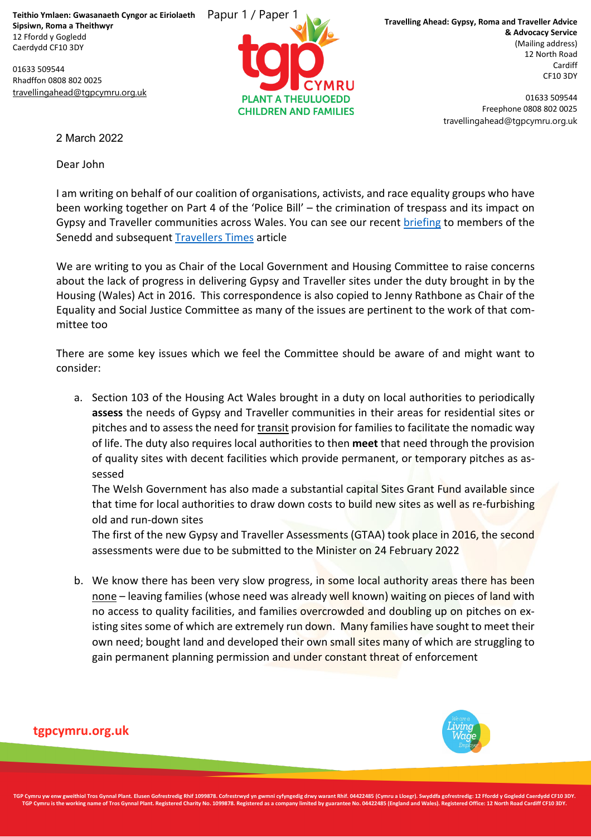**Teithio Ymlaen: Gwasanaeth Cyngor ac Eiriolaeth Sipsiwn, Roma a Theithwyr** 12 Ffordd y Gogledd Caerdydd CF10 3DY

01633 509544 Rhadffon 0808 802 0025 [travellingahead@tgpcymru.org.uk](mailto:travellingahead@tgpcymru.org.uk)



**Travelling Ahead: Gypsy, Roma and Traveller Advice & Advocacy Service** (Mailing address) 12 North Road Cardiff CF10 3DY

> 01633 509544 Freephone 0808 802 0025 travellingahead@tgpcymru.org.uk

2 March 2022

Dear John

I am writing on behalf of our coalition of organisations, activists, and race equality groups who have been working together on Part 4 of the 'Police Bill' – the crimination of trespass and its impact on Gypsy and Traveller communities across Wales. You can see our recent [briefing](https://eur02.safelinks.protection.outlook.com/?url=http%3A%2F%2Fwww.travellingahead.org.uk%2Fnews%2Fsenedd-debates-part-4-of-the-police-bill%2F&data=04%7C01%7CSeneddHousing%40senedd.wales%7C3a63d1d7e0c0436c47ea08d9fc4e90d7%7C38dc5129340c45148a044e8ef2771564%7C0%7C0%7C637818236693712373%7CUnknown%7CTWFpbGZsb3d8eyJWIjoiMC4wLjAwMDAiLCJQIjoiV2luMzIiLCJBTiI6Ik1haWwiLCJXVCI6Mn0%3D%7C3000&sdata=nRju9cDt49Fro1KbFKUNdryCx0sApuO%2F1RuRftGShr4%3D&reserved=0) to members of the Senedd and subsequent [Travellers](https://eur02.safelinks.protection.outlook.com/?url=https%3A%2F%2Fwww.travellerstimes.org.uk%2Fnews%2F2022%2F01%2Fwelsh-government-votes-reject-anti-traveller-law-wales-does-not-consent&data=04%7C01%7CSeneddHousing%40senedd.wales%7C3a63d1d7e0c0436c47ea08d9fc4e90d7%7C38dc5129340c45148a044e8ef2771564%7C0%7C0%7C637818236693712373%7CUnknown%7CTWFpbGZsb3d8eyJWIjoiMC4wLjAwMDAiLCJQIjoiV2luMzIiLCJBTiI6Ik1haWwiLCJXVCI6Mn0%3D%7C3000&sdata=Fs1odsUjfnpDiSrIQYd1Kb3uV%2B%2FvpwzxZNkzgBMyQI0%3D&reserved=0) Times article

We are writing to you as Chair of the Local Government and Housing Committee to raise concerns about the lack of progress in delivering Gypsy and Traveller sites under the duty brought in by the Housing (Wales) Act in 2016. This correspondence is also copied to Jenny Rathbone as Chair of the Equality and Social Justice Committee as many of the issues are pertinent to the work of that committee too

There are some key issues which we feel the Committee should be aware of and might want to consider:

a. Section 103 of the Housing Act Wales brought in a duty on local authorities to periodically **assess** the needs of Gypsy and Traveller communities in their areas for residential sites or pitches and to assess the need for transit provision for families to facilitate the nomadic way of life. The duty also requires local authorities to then **meet** that need through the provision of quality sites with decent facilities which provide permanent, or temporary pitches as assessed

The Welsh Government has also made a substantial capital Sites Grant Fund available since that time for local authorities to draw down costs to build new sites as well as re-furbishing old and run-down sites

The first of the new Gypsy and Traveller Assessments (GTAA) took place in 2016, the second assessments were due to be submitted to the Minister on 24 February 2022

b. We know there has been very slow progress, in some local authority areas there has been none – leaving families (whose need was already well known) waiting on pieces of land with no access to quality facilities, and families overcrowded and doubling up on pitches on existing sites some of which are extremely run down. Many families have sought to meet their own need; bought land and developed their own small sites many of which are struggling to gain permanent planning permission and under constant threat of enforcement



## **tgpcymru.org.uk**

TGP Cymru yw enw gweithiol Tros Gynnal Plant. Elusen Gofrestredig Rhif 1099878. Cofrestrwyd yn gwmni cyfyngedig drwy warant Rhif. 04422485 (Cymru a Lloegr). Swyddfa gofrestredig: 12 Ffordd y Gogledd Caerdydd CF10 3DY. TGP Cymru is the working name of Tros Gynnal Plant. Registered Charity No. 1099878. Registered as a company limited by guarantee No. 04422485 (England and Wales). Registered Office: 12 North Road Cardiff CF10 3DY.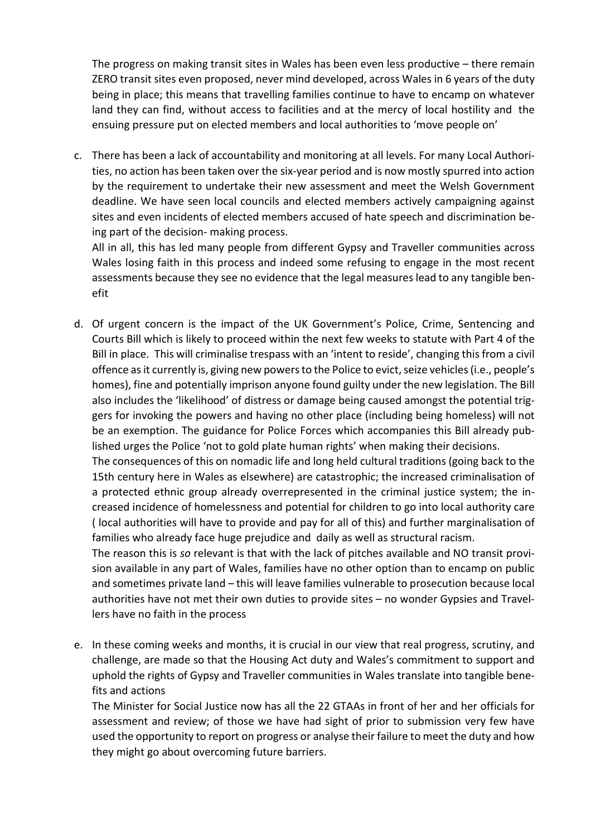The progress on making transit sites in Wales has been even less productive – there remain ZERO transit sites even proposed, never mind developed, across Wales in 6 years of the duty being in place; this means that travelling families continue to have to encamp on whatever land they can find, without access to facilities and at the mercy of local hostility and the ensuing pressure put on elected members and local authorities to 'move people on'

c. There has been a lack of accountability and monitoring at all levels. For many Local Authorities, no action has been taken over the six-year period and is now mostly spurred into action by the requirement to undertake their new assessment and meet the Welsh Government deadline. We have seen local councils and elected members actively campaigning against sites and even incidents of elected members accused of hate speech and discrimination being part of the decision- making process.

All in all, this has led many people from different Gypsy and Traveller communities across Wales losing faith in this process and indeed some refusing to engage in the most recent assessments because they see no evidence that the legal measures lead to any tangible benefit

d. Of urgent concern is the impact of the UK Government's Police, Crime, Sentencing and Courts Bill which is likely to proceed within the next few weeks to statute with Part 4 of the Bill in place. This will criminalise trespass with an 'intent to reside', changing this from a civil offence as it currently is, giving new powers to the Police to evict, seize vehicles (i.e., people's homes), fine and potentially imprison anyone found guilty under the new legislation. The Bill also includes the 'likelihood' of distress or damage being caused amongst the potential triggers for invoking the powers and having no other place (including being homeless) will not be an exemption. The guidance for Police Forces which accompanies this Bill already published urges the Police 'not to gold plate human rights' when making their decisions.

The consequences of this on nomadic life and long held cultural traditions (going back to the 15th century here in Wales as elsewhere) are catastrophic; the increased criminalisation of a protected ethnic group already overrepresented in the criminal justice system; the increased incidence of homelessness and potential for children to go into local authority care ( local authorities will have to provide and pay for all of this) and further marginalisation of families who already face huge prejudice and daily as well as structural racism.

The reason this is *so* relevant is that with the lack of pitches available and NO transit provision available in any part of Wales, families have no other option than to encamp on public and sometimes private land – this will leave families vulnerable to prosecution because local authorities have not met their own duties to provide sites – no wonder Gypsies and Travellers have no faith in the process

e. In these coming weeks and months, it is crucial in our view that real progress, scrutiny, and challenge, are made so that the Housing Act duty and Wales's commitment to support and uphold the rights of Gypsy and Traveller communities in Wales translate into tangible benefits and actions

The Minister for Social Justice now has all the 22 GTAAs in front of her and her officials for assessment and review; of those we have had sight of prior to submission very few have used the opportunity to report on progress or analyse their failure to meet the duty and how they might go about overcoming future barriers.